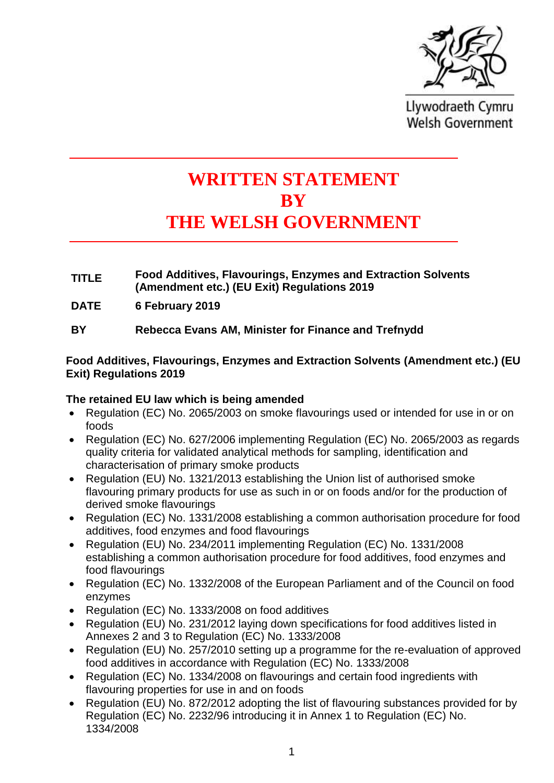

Llywodraeth Cymru **Welsh Government** 

# **WRITTEN STATEMENT BY THE WELSH GOVERNMENT**

- **TITLE Food Additives, Flavourings, Enzymes and Extraction Solvents (Amendment etc.) (EU Exit) Regulations 2019**
- **DATE 6 February 2019**
- **BY Rebecca Evans AM, Minister for Finance and Trefnydd**

# **Food Additives, Flavourings, Enzymes and Extraction Solvents (Amendment etc.) (EU Exit) Regulations 2019**

# **The retained EU law which is being amended**

- Regulation (EC) No. 2065/2003 on smoke flavourings used or intended for use in or on foods
- Regulation (EC) No. 627/2006 implementing Regulation (EC) No. 2065/2003 as regards quality criteria for validated analytical methods for sampling, identification and characterisation of primary smoke products
- Regulation (EU) No. 1321/2013 establishing the Union list of authorised smoke flavouring primary products for use as such in or on foods and/or for the production of derived smoke flavourings
- Regulation (EC) No. 1331/2008 establishing a common authorisation procedure for food additives, food enzymes and food flavourings
- Regulation (EU) No. 234/2011 implementing Regulation (EC) No. 1331/2008 establishing a common authorisation procedure for food additives, food enzymes and food flavourings
- Regulation (EC) No. 1332/2008 of the European Parliament and of the Council on food enzymes
- Regulation (EC) No. 1333/2008 on food additives
- Regulation (EU) No. 231/2012 laying down specifications for food additives listed in Annexes 2 and 3 to Regulation (EC) No. 1333/2008
- Regulation (EU) No. 257/2010 setting up a programme for the re-evaluation of approved food additives in accordance with Regulation (EC) No. 1333/2008
- Regulation (EC) No. 1334/2008 on flavourings and certain food ingredients with flavouring properties for use in and on foods
- Regulation (EU) No. 872/2012 adopting the list of flavouring substances provided for by Regulation (EC) No. 2232/96 introducing it in Annex 1 to Regulation (EC) No. 1334/2008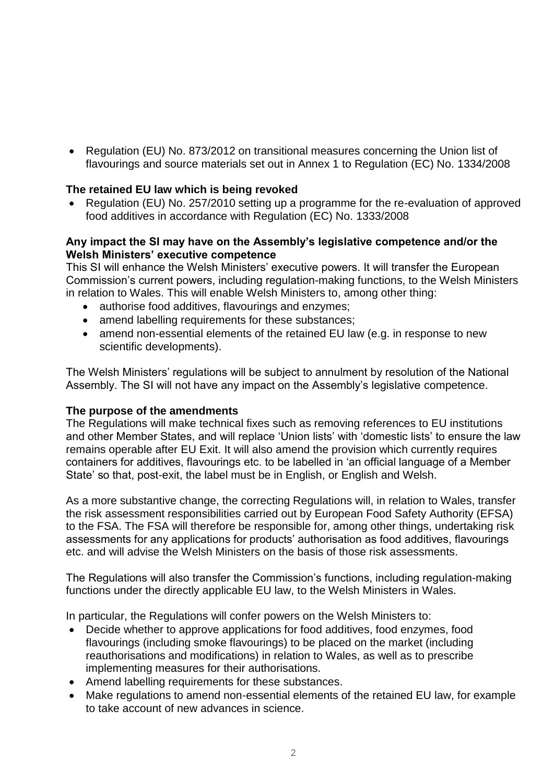• Regulation (EU) No. 873/2012 on transitional measures concerning the Union list of flavourings and source materials set out in Annex 1 to Regulation (EC) No. 1334/2008

### **The retained EU law which is being revoked**

• Regulation (EU) No. 257/2010 setting up a programme for the re-evaluation of approved food additives in accordance with Regulation (EC) No. 1333/2008

#### **Any impact the SI may have on the Assembly's legislative competence and/or the Welsh Ministers' executive competence**

This SI will enhance the Welsh Ministers' executive powers. It will transfer the European Commission's current powers, including regulation-making functions, to the Welsh Ministers in relation to Wales. This will enable Welsh Ministers to, among other thing:

- authorise food additives, flavourings and enzymes;
- amend labelling requirements for these substances;
- amend non-essential elements of the retained EU law (e.g. in response to new scientific developments).

The Welsh Ministers' regulations will be subject to annulment by resolution of the National Assembly. The SI will not have any impact on the Assembly's legislative competence.

#### **The purpose of the amendments**

The Regulations will make technical fixes such as removing references to EU institutions and other Member States, and will replace 'Union lists' with 'domestic lists' to ensure the law remains operable after EU Exit. It will also amend the provision which currently requires containers for additives, flavourings etc. to be labelled in 'an official language of a Member State' so that, post-exit, the label must be in English, or English and Welsh.

As a more substantive change, the correcting Regulations will, in relation to Wales, transfer the risk assessment responsibilities carried out by European Food Safety Authority (EFSA) to the FSA. The FSA will therefore be responsible for, among other things, undertaking risk assessments for any applications for products' authorisation as food additives, flavourings etc. and will advise the Welsh Ministers on the basis of those risk assessments.

The Regulations will also transfer the Commission's functions, including regulation-making functions under the directly applicable EU law, to the Welsh Ministers in Wales.

In particular, the Regulations will confer powers on the Welsh Ministers to:

- Decide whether to approve applications for food additives, food enzymes, food flavourings (including smoke flavourings) to be placed on the market (including reauthorisations and modifications) in relation to Wales, as well as to prescribe implementing measures for their authorisations.
- Amend labelling requirements for these substances.
- Make regulations to amend non-essential elements of the retained EU law, for example to take account of new advances in science.